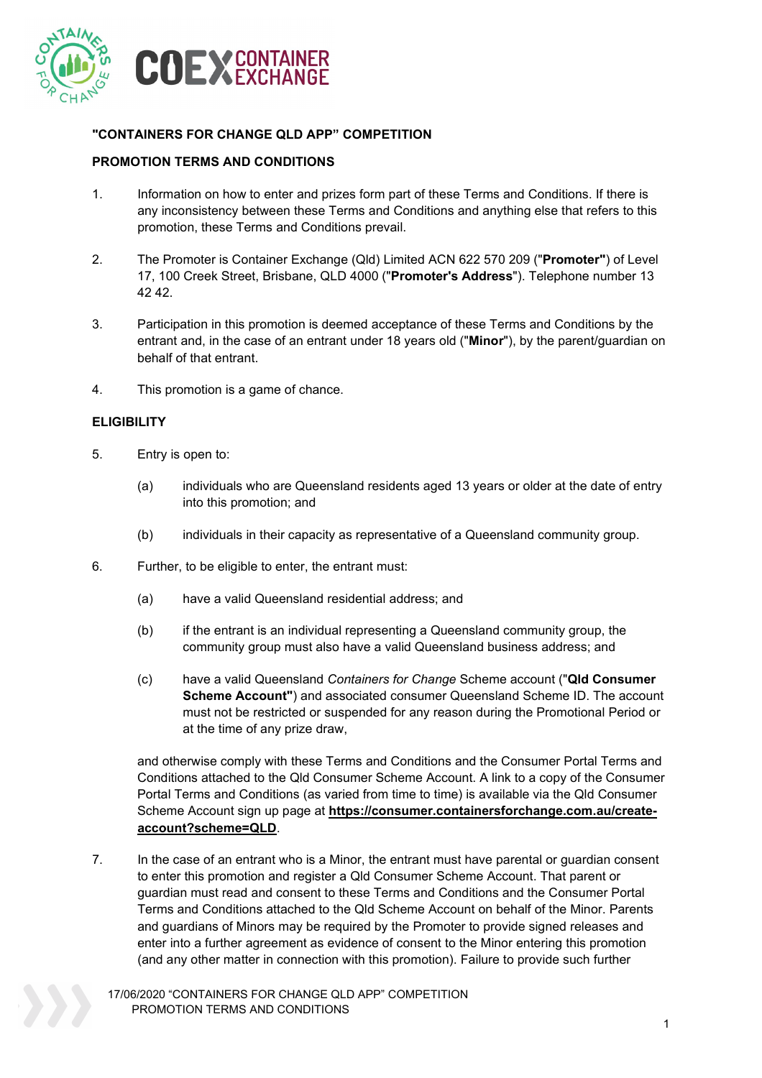

## **"CONTAINERS FOR CHANGE QLD APP" COMPETITION**

### **PROMOTION TERMS AND CONDITIONS**

- 1. Information on how to enter and prizes form part of these Terms and Conditions. If there is any inconsistency between these Terms and Conditions and anything else that refers to this promotion, these Terms and Conditions prevail.
- 2. The Promoter is Container Exchange (Qld) Limited ACN 622 570 209 ("**Promoter"**) of Level 17, 100 Creek Street, Brisbane, QLD 4000 ("**Promoter's Address**"). Telephone number 13 42 42.
- 3. Participation in this promotion is deemed acceptance of these Terms and Conditions by the entrant and, in the case of an entrant under 18 years old ("**Minor**"), by the parent/guardian on behalf of that entrant.
- 4. This promotion is a game of chance.

#### **ELIGIBILITY**

- 5. Entry is open to:
	- (a) individuals who are Queensland residents aged 13 years or older at the date of entry into this promotion; and
	- (b) individuals in their capacity as representative of a Queensland community group.
- 6. Further, to be eligible to enter, the entrant must:
	- (a) have a valid Queensland residential address; and
	- (b) if the entrant is an individual representing a Queensland community group, the community group must also have a valid Queensland business address; and
	- (c) have a valid Queensland *Containers for Change* Scheme account ("**Qld Consumer Scheme Account"**) and associated consumer Queensland Scheme ID. The account must not be restricted or suspended for any reason during the Promotional Period or at the time of any prize draw,

and otherwise comply with these Terms and Conditions and the Consumer Portal Terms and Conditions attached to the Qld Consumer Scheme Account. A link to a copy of the Consumer Portal Terms and Conditions (as varied from time to time) is available via the Qld Consumer Scheme Account sign up page at **[https://consumer.containersforchange.com.au/create](https://consumer.containersforchange.com.au/create-account?scheme=QLD)[account?scheme=QLD](https://consumer.containersforchange.com.au/create-account?scheme=QLD)**.

7. In the case of an entrant who is a Minor, the entrant must have parental or guardian consent to enter this promotion and register a Qld Consumer Scheme Account. That parent or guardian must read and consent to these Terms and Conditions and the Consumer Portal Terms and Conditions attached to the Qld Scheme Account on behalf of the Minor. Parents and guardians of Minors may be required by the Promoter to provide signed releases and enter into a further agreement as evidence of consent to the Minor entering this promotion (and any other matter in connection with this promotion). Failure to provide such further

17/06/2020 "CONTAINERS FOR CHANGE QLD APP" COMPETITION PROMOTION TERMS AND CONDITIONS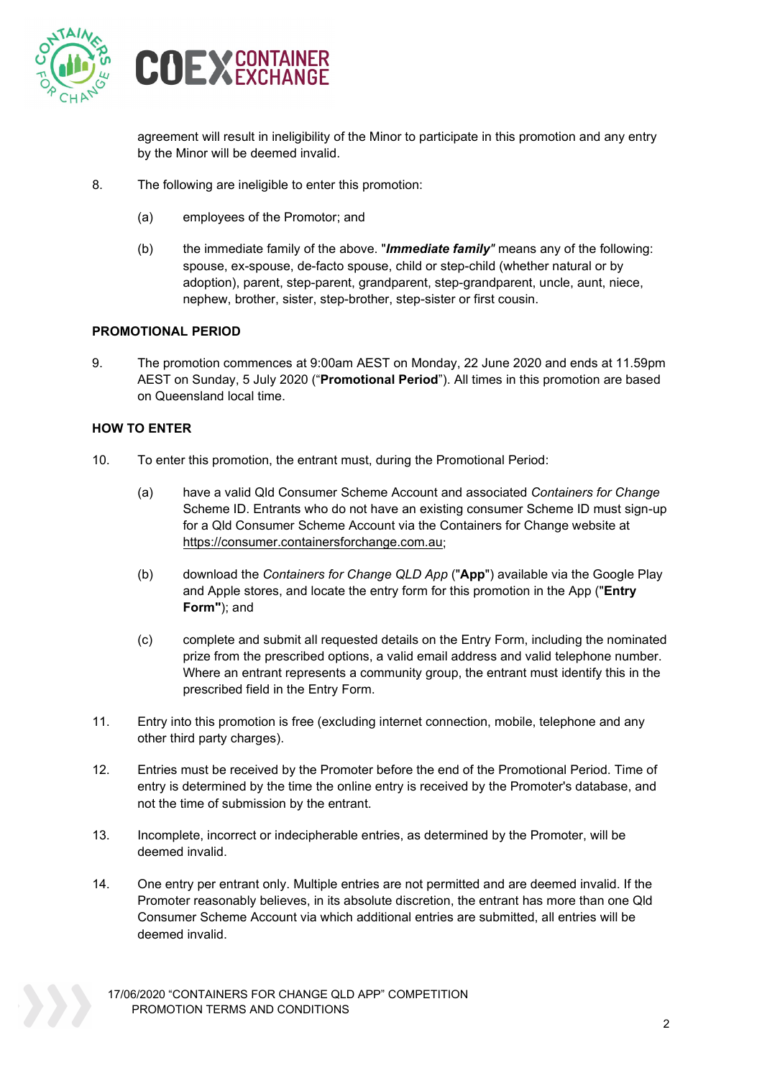



agreement will result in ineligibility of the Minor to participate in this promotion and any entry by the Minor will be deemed invalid.

- 8. The following are ineligible to enter this promotion:
	- (a) employees of the Promotor; and
	- (b) the immediate family of the above. "*Immediate family"* means any of the following: spouse, ex-spouse, de-facto spouse, child or step-child (whether natural or by adoption), parent, step-parent, grandparent, step-grandparent, uncle, aunt, niece, nephew, brother, sister, step-brother, step-sister or first cousin.

#### **PROMOTIONAL PERIOD**

9. The promotion commences at 9:00am AEST on Monday, 22 June 2020 and ends at 11.59pm AEST on Sunday, 5 July 2020 ("**Promotional Period**"). All times in this promotion are based on Queensland local time.

### **HOW TO ENTER**

- 10. To enter this promotion, the entrant must, during the Promotional Period:
	- (a) have a valid Qld Consumer Scheme Account and associated *Containers for Change*  Scheme ID. Entrants who do not have an existing consumer Scheme ID must sign-up for a Qld Consumer Scheme Account via the Containers for Change website at [https://consumer.containersforchange.com.au;](https://consumer.containersforchange.com.au/)
	- (b) download the *Containers for Change QLD App* ("**App**") available via the Google Play and Apple stores, and locate the entry form for this promotion in the App ("**Entry Form"**); and
	- (c) complete and submit all requested details on the Entry Form, including the nominated prize from the prescribed options, a valid email address and valid telephone number. Where an entrant represents a community group, the entrant must identify this in the prescribed field in the Entry Form.
- 11. Entry into this promotion is free (excluding internet connection, mobile, telephone and any other third party charges).
- 12. Entries must be received by the Promoter before the end of the Promotional Period. Time of entry is determined by the time the online entry is received by the Promoter's database, and not the time of submission by the entrant.
- 13. Incomplete, incorrect or indecipherable entries, as determined by the Promoter, will be deemed invalid.
- 14. One entry per entrant only. Multiple entries are not permitted and are deemed invalid. If the Promoter reasonably believes, in its absolute discretion, the entrant has more than one Qld Consumer Scheme Account via which additional entries are submitted, all entries will be deemed invalid.

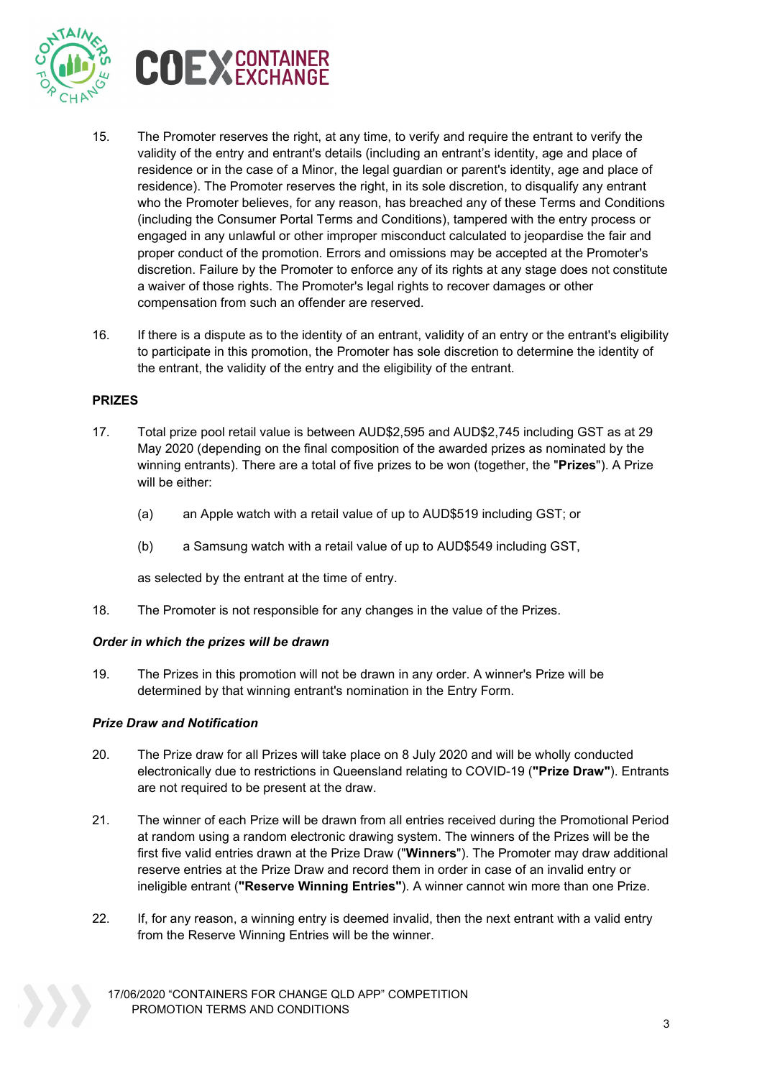



- 15. The Promoter reserves the right, at any time, to verify and require the entrant to verify the validity of the entry and entrant's details (including an entrant's identity, age and place of residence or in the case of a Minor, the legal guardian or parent's identity, age and place of residence). The Promoter reserves the right, in its sole discretion, to disqualify any entrant who the Promoter believes, for any reason, has breached any of these Terms and Conditions (including the Consumer Portal Terms and Conditions), tampered with the entry process or engaged in any unlawful or other improper misconduct calculated to jeopardise the fair and proper conduct of the promotion. Errors and omissions may be accepted at the Promoter's discretion. Failure by the Promoter to enforce any of its rights at any stage does not constitute a waiver of those rights. The Promoter's legal rights to recover damages or other compensation from such an offender are reserved.
- 16. If there is a dispute as to the identity of an entrant, validity of an entry or the entrant's eligibility to participate in this promotion, the Promoter has sole discretion to determine the identity of the entrant, the validity of the entry and the eligibility of the entrant.

#### **PRIZES**

- 17. Total prize pool retail value is between AUD\$2,595 and AUD\$2,745 including GST as at 29 May 2020 (depending on the final composition of the awarded prizes as nominated by the winning entrants). There are a total of five prizes to be won (together, the "**Prizes**"). A Prize will be either:
	- (a) an Apple watch with a retail value of up to AUD\$519 including GST; or
	- (b) a Samsung watch with a retail value of up to AUD\$549 including GST,

as selected by the entrant at the time of entry.

18. The Promoter is not responsible for any changes in the value of the Prizes.

#### *Order in which the prizes will be drawn*

19. The Prizes in this promotion will not be drawn in any order. A winner's Prize will be determined by that winning entrant's nomination in the Entry Form.

#### *Prize Draw and Notification*

- 20. The Prize draw for all Prizes will take place on 8 July 2020 and will be wholly conducted electronically due to restrictions in Queensland relating to COVID-19 (**"Prize Draw"**). Entrants are not required to be present at the draw.
- 21. The winner of each Prize will be drawn from all entries received during the Promotional Period at random using a random electronic drawing system. The winners of the Prizes will be the first five valid entries drawn at the Prize Draw ("**Winners**"). The Promoter may draw additional reserve entries at the Prize Draw and record them in order in case of an invalid entry or ineligible entrant (**"Reserve Winning Entries"**). A winner cannot win more than one Prize.
- 22. If, for any reason, a winning entry is deemed invalid, then the next entrant with a valid entry from the Reserve Winning Entries will be the winner.
	- 17/06/2020 "CONTAINERS FOR CHANGE QLD APP" COMPETITION PROMOTION TERMS AND CONDITIONS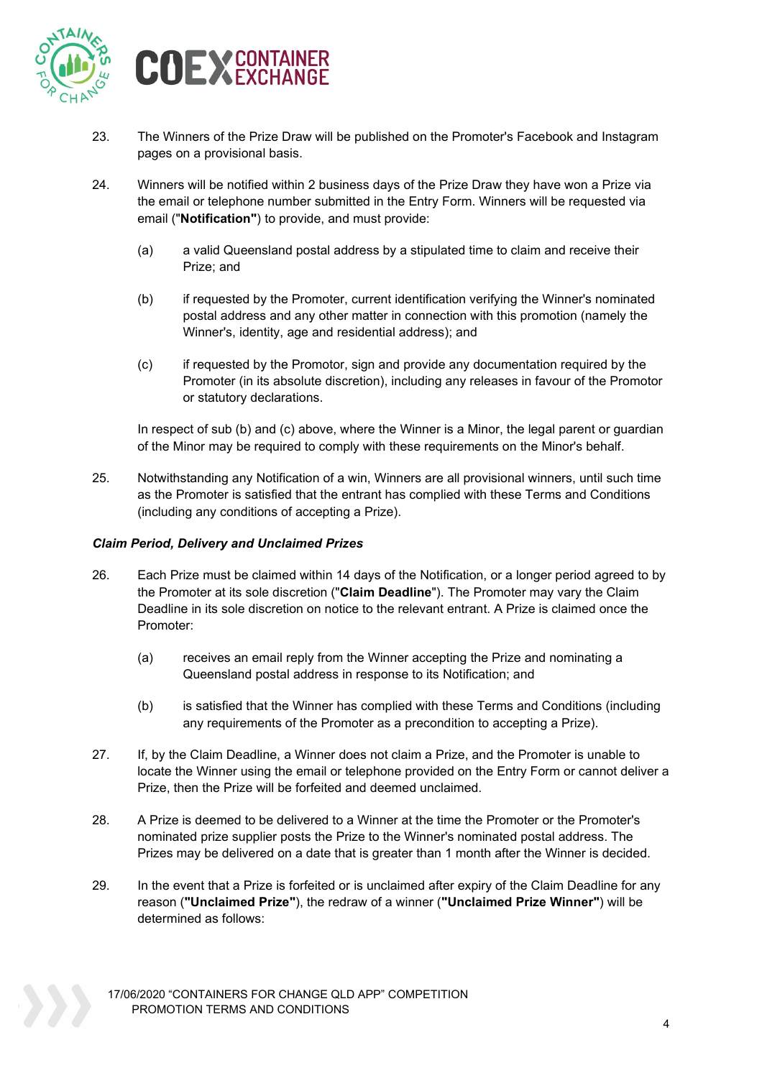



- 23. The Winners of the Prize Draw will be published on the Promoter's Facebook and Instagram pages on a provisional basis.
- <span id="page-3-0"></span>24. Winners will be notified within 2 business days of the Prize Draw they have won a Prize via the email or telephone number submitted in the Entry Form. Winners will be requested via email ("**Notification"**) to provide, and must provide:
	- (a) a valid Queensland postal address by a stipulated time to claim and receive their Prize; and
	- (b) if requested by the Promoter, current identification verifying the Winner's nominated postal address and any other matter in connection with this promotion (namely the Winner's, identity, age and residential address); and
	- (c) if requested by the Promotor, sign and provide any documentation required by the Promoter (in its absolute discretion), including any releases in favour of the Promotor or statutory declarations.

In respect of sub (b) and (c) above, where the Winner is a Minor, the legal parent or guardian of the Minor may be required to comply with these requirements on the Minor's behalf.

25. Notwithstanding any Notification of a win, Winners are all provisional winners, until such time as the Promoter is satisfied that the entrant has complied with these Terms and Conditions (including any conditions of accepting a Prize).

### *Claim Period, Delivery and Unclaimed Prizes*

- 26. Each Prize must be claimed within 14 days of the Notification, or a longer period agreed to by the Promoter at its sole discretion ("**Claim Deadline**"). The Promoter may vary the Claim Deadline in its sole discretion on notice to the relevant entrant. A Prize is claimed once the Promoter:
	- (a) receives an email reply from the Winner accepting the Prize and nominating a Queensland postal address in response to its Notification; and
	- (b) is satisfied that the Winner has complied with these Terms and Conditions (including any requirements of the Promoter as a precondition to accepting a Prize).
- 27. If, by the Claim Deadline, a Winner does not claim a Prize, and the Promoter is unable to locate the Winner using the email or telephone provided on the Entry Form or cannot deliver a Prize, then the Prize will be forfeited and deemed unclaimed.
- <span id="page-3-1"></span>28. A Prize is deemed to be delivered to a Winner at the time the Promoter or the Promoter's nominated prize supplier posts the Prize to the Winner's nominated postal address. The Prizes may be delivered on a date that is greater than 1 month after the Winner is decided.
- 29. In the event that a Prize is forfeited or is unclaimed after expiry of the Claim Deadline for any reason (**"Unclaimed Prize"**), the redraw of a winner (**"Unclaimed Prize Winner"**) will be determined as follows:

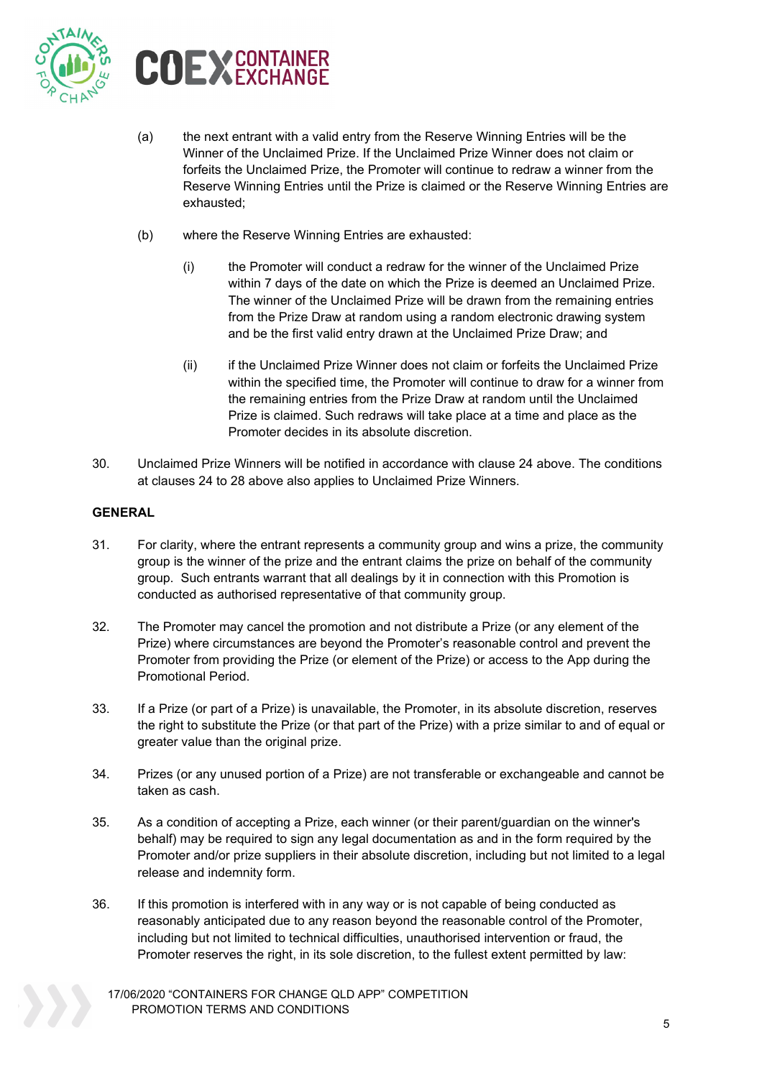



- (a) the next entrant with a valid entry from the Reserve Winning Entries will be the Winner of the Unclaimed Prize. If the Unclaimed Prize Winner does not claim or forfeits the Unclaimed Prize, the Promoter will continue to redraw a winner from the Reserve Winning Entries until the Prize is claimed or the Reserve Winning Entries are exhausted;
- (b) where the Reserve Winning Entries are exhausted:
	- (i) the Promoter will conduct a redraw for the winner of the Unclaimed Prize within 7 days of the date on which the Prize is deemed an Unclaimed Prize. The winner of the Unclaimed Prize will be drawn from the remaining entries from the Prize Draw at random using a random electronic drawing system and be the first valid entry drawn at the Unclaimed Prize Draw; and
	- (ii) if the Unclaimed Prize Winner does not claim or forfeits the Unclaimed Prize within the specified time, the Promoter will continue to draw for a winner from the remaining entries from the Prize Draw at random until the Unclaimed Prize is claimed. Such redraws will take place at a time and place as the Promoter decides in its absolute discretion.
- 30. Unclaimed Prize Winners will be notified in accordance with clause [24](#page-3-0) above. The conditions at clauses [24](#page-3-0) to [28](#page-3-1) above also applies to Unclaimed Prize Winners.

# **GENERAL**

- 31. For clarity, where the entrant represents a community group and wins a prize, the community group is the winner of the prize and the entrant claims the prize on behalf of the community group. Such entrants warrant that all dealings by it in connection with this Promotion is conducted as authorised representative of that community group.
- 32. The Promoter may cancel the promotion and not distribute a Prize (or any element of the Prize) where circumstances are beyond the Promoter's reasonable control and prevent the Promoter from providing the Prize (or element of the Prize) or access to the App during the Promotional Period.
- 33. If a Prize (or part of a Prize) is unavailable, the Promoter, in its absolute discretion, reserves the right to substitute the Prize (or that part of the Prize) with a prize similar to and of equal or greater value than the original prize.
- 34. Prizes (or any unused portion of a Prize) are not transferable or exchangeable and cannot be taken as cash.
- 35. As a condition of accepting a Prize, each winner (or their parent/guardian on the winner's behalf) may be required to sign any legal documentation as and in the form required by the Promoter and/or prize suppliers in their absolute discretion, including but not limited to a legal release and indemnity form.
- 36. If this promotion is interfered with in any way or is not capable of being conducted as reasonably anticipated due to any reason beyond the reasonable control of the Promoter, including but not limited to technical difficulties, unauthorised intervention or fraud, the Promoter reserves the right, in its sole discretion, to the fullest extent permitted by law:
	- 17/06/2020 "CONTAINERS FOR CHANGE QLD APP" COMPETITION PROMOTION TERMS AND CONDITIONS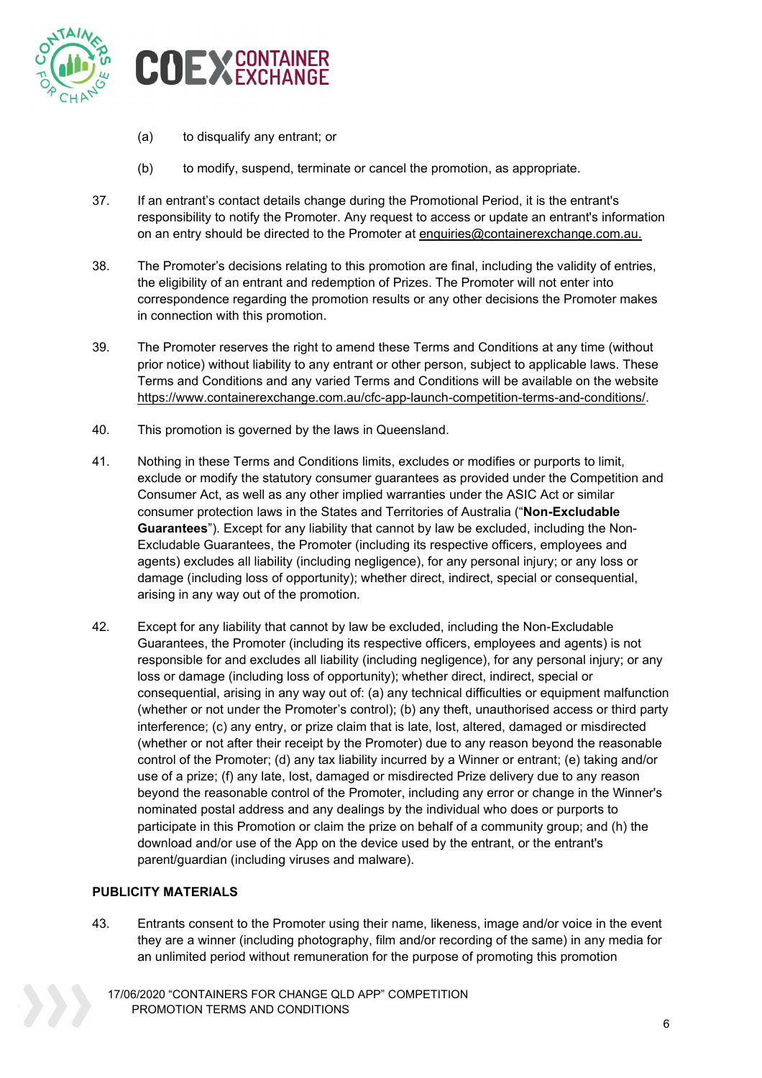

- (a) to disqualify any entrant; or
- (b) to modify, suspend, terminate or cancel the promotion, as appropriate.
- 37. If an entrant's contact details change during the Promotional Period, it is the entrant's responsibility to notify the Promoter. Any request to access or update an entrant's information on an entry should be directed to the Promoter at [enquiries@containerexchange.com.au.](mailto:enquiries@containerexchange.com.au)
- 38. The Promoter's decisions relating to this promotion are final, including the validity of entries, the eligibility of an entrant and redemption of Prizes. The Promoter will not enter into correspondence regarding the promotion results or any other decisions the Promoter makes in connection with this promotion.
- 39. The Promoter reserves the right to amend these Terms and Conditions at any time (without prior notice) without liability to any entrant or other person, subject to applicable laws. These Terms and Conditions and any varied Terms and Conditions will be available on the website [https://www.containerexchange.com.au/cfc-app-launch-competition-terms-and-conditions/.](https://aus01.safelinks.protection.outlook.com/?url=https%3A%2F%2Fwww.containerexchange.com.au%2Fcfc-app-launch-competition-terms-and-conditions%2F&data=02%7C01%7C%7Ca1e6a1b186a14cd5d39308d8125dc685%7C146bdb1333114772825408cc5909f701%7C0%7C0%7C637279541270686234&sdata=p8WD8qPt7qvQiZ01N1q9RAksmO1N2TH1xffWBkeC0Z8%3D&reserved=0)
- 40. This promotion is governed by the laws in Queensland.
- 41. Nothing in these Terms and Conditions limits, excludes or modifies or purports to limit, exclude or modify the statutory consumer guarantees as provided under the Competition and Consumer Act, as well as any other implied warranties under the ASIC Act or similar consumer protection laws in the States and Territories of Australia ("**Non-Excludable Guarantees**"). Except for any liability that cannot by law be excluded, including the Non-Excludable Guarantees, the Promoter (including its respective officers, employees and agents) excludes all liability (including negligence), for any personal injury; or any loss or damage (including loss of opportunity); whether direct, indirect, special or consequential, arising in any way out of the promotion.
- 42. Except for any liability that cannot by law be excluded, including the Non-Excludable Guarantees, the Promoter (including its respective officers, employees and agents) is not responsible for and excludes all liability (including negligence), for any personal injury; or any loss or damage (including loss of opportunity); whether direct, indirect, special or consequential, arising in any way out of: (a) any technical difficulties or equipment malfunction (whether or not under the Promoter's control); (b) any theft, unauthorised access or third party interference; (c) any entry, or prize claim that is late, lost, altered, damaged or misdirected (whether or not after their receipt by the Promoter) due to any reason beyond the reasonable control of the Promoter; (d) any tax liability incurred by a Winner or entrant; (e) taking and/or use of a prize; (f) any late, lost, damaged or misdirected Prize delivery due to any reason beyond the reasonable control of the Promoter, including any error or change in the Winner's nominated postal address and any dealings by the individual who does or purports to participate in this Promotion or claim the prize on behalf of a community group; and (h) the download and/or use of the App on the device used by the entrant, or the entrant's parent/guardian (including viruses and malware).

# **PUBLICITY MATERIALS**

43. Entrants consent to the Promoter using their name, likeness, image and/or voice in the event they are a winner (including photography, film and/or recording of the same) in any media for an unlimited period without remuneration for the purpose of promoting this promotion

17/06/2020 "CONTAINERS FOR CHANGE QLD APP" COMPETITION PROMOTION TERMS AND CONDITIONS